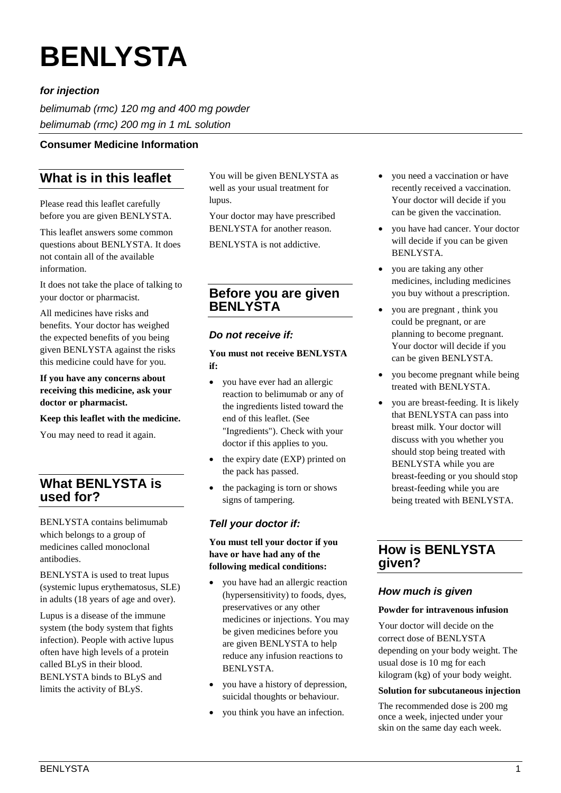# **BENLYSTA**

## *for injection*

*belimumab (rmc) 120 mg and 400 mg powder belimumab (rmc) 200 mg in 1 mL solution*

## **Consumer Medicine Information**

# **What is in this leaflet**

Please read this leaflet carefully before you are given BENLYSTA.

This leaflet answers some common questions about BENLYSTA. It does not contain all of the available information.

It does not take the place of talking to your doctor or pharmacist.

All medicines have risks and benefits. Your doctor has weighed the expected benefits of you being given BENLYSTA against the risks this medicine could have for you.

**If you have any concerns about receiving this medicine, ask your doctor or pharmacist.** 

#### **Keep this leaflet with the medicine.**

You may need to read it again.

# **What BENLYSTA is used for?**

BENLYSTA contains belimumab which belongs to a group of medicines called monoclonal antibodies.

BENLYSTA is used to treat lupus (systemic lupus erythematosus, SLE) in adults (18 years of age and over).

Lupus is a disease of the immune system (the body system that fights infection). People with active lupus often have high levels of a protein called BLyS in their blood. BENLYSTA binds to BLyS and limits the activity of BLyS.

You will be given BENLYSTA as well as your usual treatment for lupus.

Your doctor may have prescribed BENLYSTA for another reason.

BENLYSTA is not addictive.

# **Before you are given BENLYSTA**

## *Do not receive if:*

**You must not receive BENLYSTA if:** 

- you have ever had an allergic reaction to belimumab or any of the ingredients listed toward the end of this leaflet. (See "Ingredients"). Check with your doctor if this applies to you.
- the expiry date (EXP) printed on the pack has passed.
- the packaging is torn or shows signs of tampering.

## *Tell your doctor if:*

**You must tell your doctor if you have or have had any of the following medical conditions:** 

- you have had an allergic reaction (hypersensitivity) to foods, dyes, preservatives or any other medicines or injections. You may be given medicines before you are given BENLYSTA to help reduce any infusion reactions to BENLYSTA.
- you have a history of depression, suicidal thoughts or behaviour.
- you think you have an infection.
- you need a vaccination or have recently received a vaccination. Your doctor will decide if you can be given the vaccination.
- you have had cancer. Your doctor will decide if you can be given BENLYSTA.
- you are taking any other medicines, including medicines you buy without a prescription.
- you are pregnant , think you could be pregnant, or are planning to become pregnant. Your doctor will decide if you can be given BENLYSTA.
- you become pregnant while being treated with BENLYSTA.
- you are breast-feeding. It is likely that BENLYSTA can pass into breast milk. Your doctor will discuss with you whether you should stop being treated with BENLYSTA while you are breast-feeding or you should stop breast-feeding while you are being treated with BENLYSTA.

# **How is BENLYSTA given?**

## *How much is given*

#### **Powder for intravenous infusion**

Your doctor will decide on the correct dose of BENLYSTA depending on your body weight. The usual dose is 10 mg for each kilogram (kg) of your body weight.

## **Solution for subcutaneous injection**

The recommended dose is 200 mg once a week, injected under your skin on the same day each week.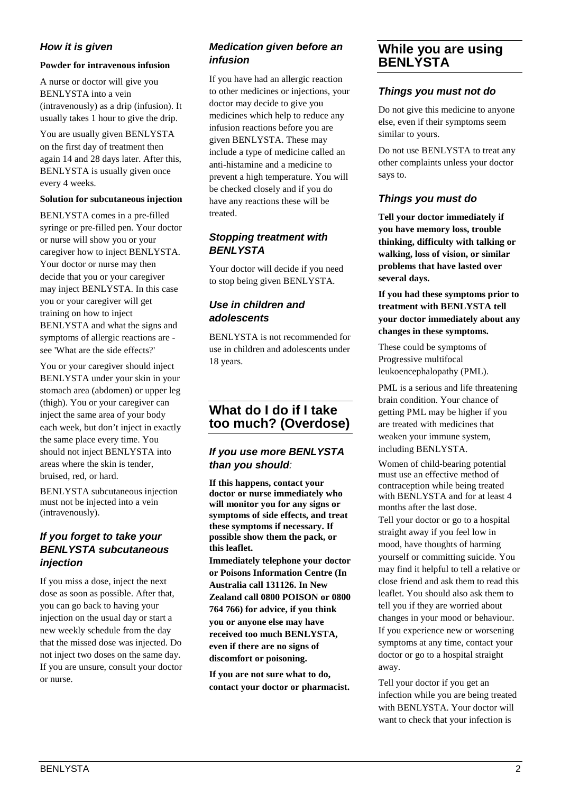## *How it is given*

#### **Powder for intravenous infusion**

A nurse or doctor will give you BENLYSTA into a vein (intravenously) as a drip (infusion). It usually takes 1 hour to give the drip.

You are usually given BENLYSTA on the first day of treatment then again 14 and 28 days later. After this, BENLYSTA is usually given once every 4 weeks.

#### **Solution for subcutaneous injection**

BENLYSTA comes in a pre-filled syringe or pre-filled pen. Your doctor or nurse will show you or your caregiver how to inject BENLYSTA. Your doctor or nurse may then decide that you or your caregiver may inject BENLYSTA. In this case you or your caregiver will get training on how to inject BENLYSTA and what the signs and symptoms of allergic reactions are see 'What are the side effects?'

You or your caregiver should inject BENLYSTA under your skin in your stomach area (abdomen) or upper leg (thigh). You or your caregiver can inject the same area of your body each week, but don't inject in exactly the same place every time. You should not inject BENLYSTA into areas where the skin is tender, bruised, red, or hard.

BENLYSTA subcutaneous injection must not be injected into a vein (intravenously).

## *If you forget to take your BENLYSTA subcutaneous injection*

If you miss a dose, inject the next dose as soon as possible. After that, you can go back to having your injection on the usual day or start a new weekly schedule from the day that the missed dose was injected. Do not inject two doses on the same day. If you are unsure, consult your doctor or nurse.

## *Medication given before an infusion*

If you have had an allergic reaction to other medicines or injections, your doctor may decide to give you medicines which help to reduce any infusion reactions before you are given BENLYSTA. These may include a type of medicine called an anti-histamine and a medicine to prevent a high temperature. You will be checked closely and if you do have any reactions these will be treated.

## *Stopping treatment with BENLYSTA*

Your doctor will decide if you need to stop being given BENLYSTA.

## *Use in children and adolescents*

BENLYSTA is not recommended for use in children and adolescents under 18 years.

# **What do I do if I take too much? (Overdose)**

## *If you use more BENLYSTA than you should:*

**If this happens, contact your doctor or nurse immediately who will monitor you for any signs or symptoms of side effects, and treat these symptoms if necessary. If possible show them the pack, or this leaflet.**

**Immediately telephone your doctor or Poisons Information Centre (In Australia call 131126. In New Zealand call 0800 POISON or 0800 764 766) for advice, if you think you or anyone else may have received too much BENLYSTA, even if there are no signs of discomfort or poisoning.** 

**If you are not sure what to do, contact your doctor or pharmacist.**

# **While you are using BENLYSTA**

## *Things you must not do*

Do not give this medicine to anyone else, even if their symptoms seem similar to yours.

Do not use BENLYSTA to treat any other complaints unless your doctor says to.

## *Things you must do*

**Tell your doctor immediately if you have memory loss, trouble thinking, difficulty with talking or walking, loss of vision, or similar problems that have lasted over several days.**

**If you had these symptoms prior to treatment with BENLYSTA tell your doctor immediately about any changes in these symptoms.**

These could be symptoms of Progressive multifocal leukoencephalopathy (PML).

PML is a serious and life threatening brain condition. Your chance of getting PML may be higher if you are treated with medicines that weaken your immune system, including BENLYSTA.

Women of child-bearing potential must use an effective method of contraception while being treated with BENLYSTA and for at least 4 months after the last dose.

Tell your doctor or go to a hospital straight away if you feel low in mood, have thoughts of harming yourself or committing suicide. You may find it helpful to tell a relative or close friend and ask them to read this leaflet. You should also ask them to tell you if they are worried about changes in your mood or behaviour. If you experience new or worsening symptoms at any time, contact your doctor or go to a hospital straight away.

Tell your doctor if you get an infection while you are being treated with BENLYSTA. Your doctor will want to check that your infection is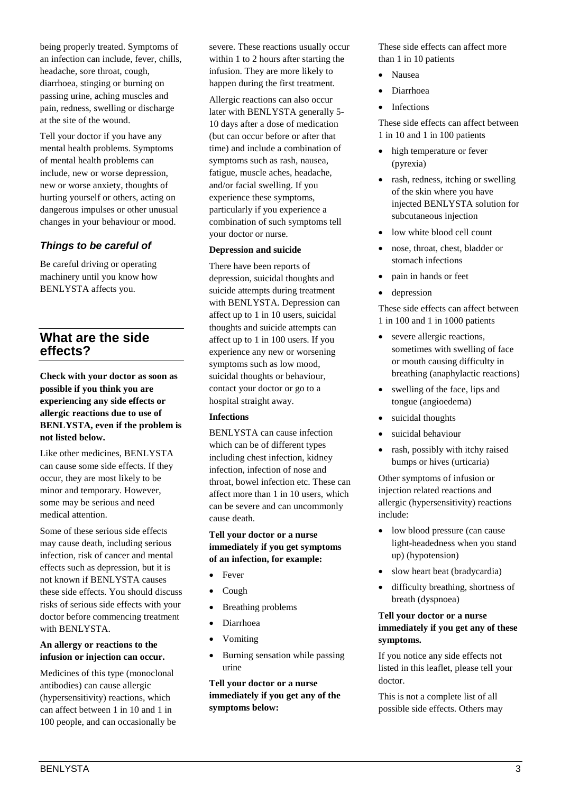being properly treated. Symptoms of an infection can include, fever, chills, headache, sore throat, cough, diarrhoea, stinging or burning on passing urine, aching muscles and pain, redness, swelling or discharge at the site of the wound.

Tell your doctor if you have any mental health problems. Symptoms of mental health problems can include, new or worse depression, new or worse anxiety, thoughts of hurting yourself or others, acting on dangerous impulses or other unusual changes in your behaviour or mood.

## *Things to be careful of*

Be careful driving or operating machinery until you know how BENLYSTA affects you.

# **What are the side effects?**

**Check with your doctor as soon as possible if you think you are experiencing any side effects or allergic reactions due to use of BENLYSTA, even if the problem is not listed below.**

Like other medicines, BENLYSTA can cause some side effects. If they occur, they are most likely to be minor and temporary. However, some may be serious and need medical attention.

Some of these serious side effects may cause death, including serious infection, risk of cancer and mental effects such as depression, but it is not known if BENLYSTA causes these side effects. You should discuss risks of serious side effects with your doctor before commencing treatment with BENLYSTA.

#### **An allergy or reactions to the infusion or injection can occur.**

Medicines of this type (monoclonal antibodies) can cause allergic (hypersensitivity) reactions, which can affect between 1 in 10 and 1 in 100 people, and can occasionally be severe. These reactions usually occur within 1 to 2 hours after starting the infusion. They are more likely to happen during the first treatment.

Allergic reactions can also occur later with BENLYSTA generally 5- 10 days after a dose of medication (but can occur before or after that time) and include a combination of symptoms such as rash, nausea, fatigue, muscle aches, headache, and/or facial swelling. If you experience these symptoms, particularly if you experience a combination of such symptoms tell your doctor or nurse.

#### **Depression and suicide**

There have been reports of depression, suicidal thoughts and suicide attempts during treatment with BENLYSTA. Depression can affect up to 1 in 10 users, suicidal thoughts and suicide attempts can affect up to 1 in 100 users. If you experience any new or worsening symptoms such as low mood, suicidal thoughts or behaviour, contact your doctor or go to a hospital straight away.

#### **Infections**

BENLYSTA can cause infection which can be of different types including chest infection, kidney infection, infection of nose and throat, bowel infection etc. These can affect more than 1 in 10 users, which can be severe and can uncommonly cause death.

#### **Tell your doctor or a nurse immediately if you get symptoms of an infection, for example:**

- Fever
- Cough
- Breathing problems
- Diarrhoea
- Vomiting
- Burning sensation while passing urine

**Tell your doctor or a nurse immediately if you get any of the symptoms below:** 

These side effects can affect more than 1 in 10 patients

- Nausea
- Diarrhoea
- **Infections**

These side effects can affect between 1 in 10 and 1 in 100 patients

- high temperature or fever (pyrexia)
- rash, redness, itching or swelling of the skin where you have injected BENLYSTA solution for subcutaneous injection
- low white blood cell count
- nose, throat, chest, bladder or stomach infections
- pain in hands or feet
- depression

These side effects can affect between 1 in 100 and 1 in 1000 patients

- severe allergic reactions, sometimes with swelling of face or mouth causing difficulty in breathing (anaphylactic reactions)
- swelling of the face, lips and tongue (angioedema)
- suicidal thoughts
- suicidal behaviour
- rash, possibly with itchy raised bumps or hives (urticaria)

Other symptoms of infusion or injection related reactions and allergic (hypersensitivity) reactions include:

- low blood pressure (can cause light-headedness when you stand up) (hypotension)
- slow heart beat (bradycardia)
- difficulty breathing, shortness of breath (dyspnoea)

## **Tell your doctor or a nurse immediately if you get any of these symptoms.**

If you notice any side effects not listed in this leaflet, please tell your doctor.

This is not a complete list of all possible side effects. Others may